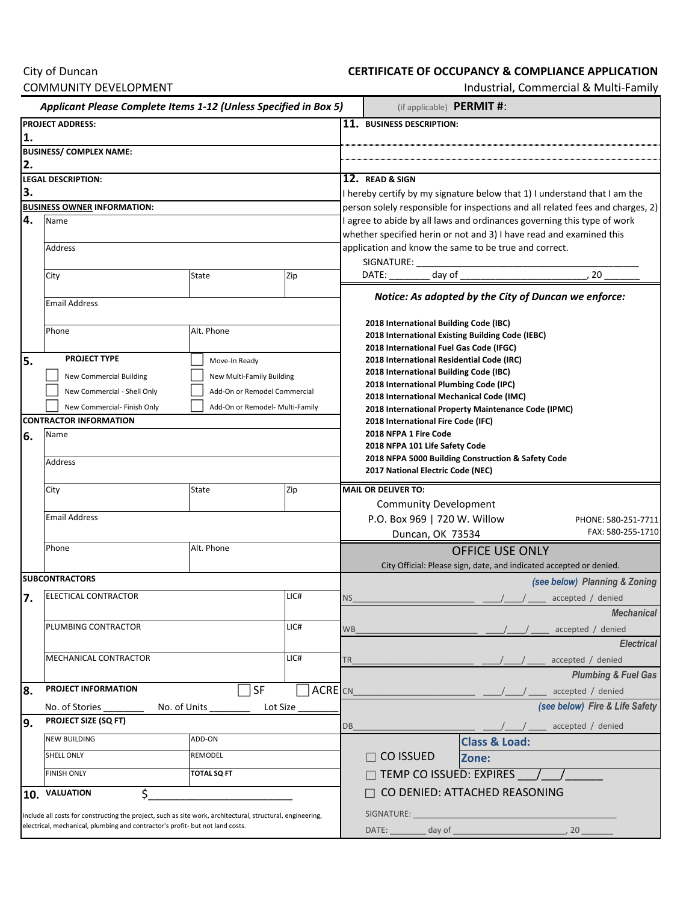## City of Duncan COMMUNITY DEVELOPMENT

## **CERTIFICATE OF OCCUPANCY & COMPLIANCE APPLICATION**

Industrial, Commercial & Multi-Family

| Applicant Please Complete Items 1-12 (Unless Specified in Box 5)                                           |                                          |                                 |                |                                                                                                                                                                                                                            | (if applicable) PERMIT #:                                                                       |                                                                                                                                                                                                                                |                                                     |
|------------------------------------------------------------------------------------------------------------|------------------------------------------|---------------------------------|----------------|----------------------------------------------------------------------------------------------------------------------------------------------------------------------------------------------------------------------------|-------------------------------------------------------------------------------------------------|--------------------------------------------------------------------------------------------------------------------------------------------------------------------------------------------------------------------------------|-----------------------------------------------------|
| <b>PROJECT ADDRESS:</b>                                                                                    |                                          |                                 |                |                                                                                                                                                                                                                            | 11. BUSINESS DESCRIPTION:                                                                       |                                                                                                                                                                                                                                |                                                     |
| 1.                                                                                                         |                                          |                                 |                |                                                                                                                                                                                                                            |                                                                                                 |                                                                                                                                                                                                                                |                                                     |
| <b>BUSINESS/ COMPLEX NAME:</b><br>2.                                                                       |                                          |                                 |                |                                                                                                                                                                                                                            |                                                                                                 |                                                                                                                                                                                                                                |                                                     |
| <b>LEGAL DESCRIPTION:</b>                                                                                  |                                          |                                 |                | 12. READ & SIGN                                                                                                                                                                                                            |                                                                                                 |                                                                                                                                                                                                                                |                                                     |
| 3.                                                                                                         |                                          |                                 |                | I hereby certify by my signature below that 1) I understand that I am the                                                                                                                                                  |                                                                                                 |                                                                                                                                                                                                                                |                                                     |
|                                                                                                            | <b>BUSINESS OWNER INFORMATION:</b>       |                                 |                | person solely responsible for inspections and all related fees and charges, 2)                                                                                                                                             |                                                                                                 |                                                                                                                                                                                                                                |                                                     |
| 4.                                                                                                         | Name                                     |                                 |                | I agree to abide by all laws and ordinances governing this type of work<br>whether specified herin or not and 3) I have read and examined this<br>application and know the same to be true and correct.<br>SIGNATURE: ____ |                                                                                                 |                                                                                                                                                                                                                                |                                                     |
|                                                                                                            |                                          |                                 |                |                                                                                                                                                                                                                            |                                                                                                 |                                                                                                                                                                                                                                |                                                     |
|                                                                                                            | Address                                  |                                 |                |                                                                                                                                                                                                                            |                                                                                                 |                                                                                                                                                                                                                                |                                                     |
|                                                                                                            | City                                     | State                           | Zip            |                                                                                                                                                                                                                            | day of<br>DATE:                                                                                 |                                                                                                                                                                                                                                | 20                                                  |
|                                                                                                            |                                          |                                 |                |                                                                                                                                                                                                                            |                                                                                                 |                                                                                                                                                                                                                                |                                                     |
|                                                                                                            | <b>Email Address</b>                     |                                 |                | Notice: As adopted by the City of Duncan we enforce:<br>2018 International Building Code (IBC)<br>2018 International Existing Building Code (IEBC)<br>2018 International Fuel Gas Code (IFGC)                              |                                                                                                 |                                                                                                                                                                                                                                |                                                     |
|                                                                                                            | Alt. Phone<br>Phone                      |                                 |                |                                                                                                                                                                                                                            |                                                                                                 |                                                                                                                                                                                                                                |                                                     |
|                                                                                                            |                                          |                                 |                |                                                                                                                                                                                                                            |                                                                                                 |                                                                                                                                                                                                                                |                                                     |
| l5.                                                                                                        | <b>PROJECT TYPE</b>                      | Move-In Ready                   |                |                                                                                                                                                                                                                            | 2018 International Residential Code (IRC)                                                       |                                                                                                                                                                                                                                |                                                     |
|                                                                                                            | <b>New Commercial Building</b>           | New Multi-Family Building       |                |                                                                                                                                                                                                                            | 2018 International Building Code (IBC)                                                          |                                                                                                                                                                                                                                |                                                     |
|                                                                                                            | New Commercial - Shell Only              | Add-On or Remodel Commercial    |                |                                                                                                                                                                                                                            | 2018 International Plumbing Code (IPC)                                                          |                                                                                                                                                                                                                                |                                                     |
|                                                                                                            | New Commercial- Finish Only              | Add-On or Remodel- Multi-Family |                |                                                                                                                                                                                                                            | 2018 International Mechanical Code (IMC)<br>2018 International Property Maintenance Code (IPMC) |                                                                                                                                                                                                                                |                                                     |
| <b>CONTRACTOR INFORMATION</b>                                                                              |                                          |                                 |                |                                                                                                                                                                                                                            | 2018 International Fire Code (IFC)                                                              |                                                                                                                                                                                                                                |                                                     |
| 6.                                                                                                         | Name                                     |                                 |                | 2018 NFPA 1 Fire Code<br>2018 NFPA 101 Life Safety Code<br>2018 NFPA 5000 Building Construction & Safety Code                                                                                                              |                                                                                                 |                                                                                                                                                                                                                                |                                                     |
|                                                                                                            | Address                                  |                                 |                |                                                                                                                                                                                                                            |                                                                                                 |                                                                                                                                                                                                                                |                                                     |
|                                                                                                            |                                          |                                 |                |                                                                                                                                                                                                                            | 2017 National Electric Code (NEC)                                                               |                                                                                                                                                                                                                                |                                                     |
|                                                                                                            | City                                     | <b>State</b>                    | Zip            |                                                                                                                                                                                                                            | <b>MAIL OR DELIVER TO:</b>                                                                      |                                                                                                                                                                                                                                |                                                     |
|                                                                                                            |                                          |                                 |                |                                                                                                                                                                                                                            | <b>Community Development</b>                                                                    |                                                                                                                                                                                                                                |                                                     |
|                                                                                                            | <b>Email Address</b>                     |                                 |                |                                                                                                                                                                                                                            | P.O. Box 969   720 W. Willow                                                                    |                                                                                                                                                                                                                                | PHONE: 580-251-7711                                 |
|                                                                                                            |                                          |                                 |                |                                                                                                                                                                                                                            | Duncan, OK 73534                                                                                |                                                                                                                                                                                                                                | FAX: 580-255-1710                                   |
|                                                                                                            | Phone                                    | Alt. Phone                      |                | <b>OFFICE USE ONLY</b>                                                                                                                                                                                                     |                                                                                                 |                                                                                                                                                                                                                                |                                                     |
|                                                                                                            |                                          |                                 |                |                                                                                                                                                                                                                            |                                                                                                 | City Official: Please sign, date, and indicated accepted or denied.                                                                                                                                                            |                                                     |
| <b>SUBCONTRACTORS</b>                                                                                      |                                          |                                 |                |                                                                                                                                                                                                                            |                                                                                                 | (see below) Planning & Zoning                                                                                                                                                                                                  |                                                     |
| 7.                                                                                                         | ELECTICAL CONTRACTOR<br>LIC#             |                                 |                | NS.                                                                                                                                                                                                                        |                                                                                                 |                                                                                                                                                                                                                                | accepted / denied                                   |
|                                                                                                            |                                          |                                 |                |                                                                                                                                                                                                                            |                                                                                                 |                                                                                                                                                                                                                                | <b>Mechanical</b>                                   |
|                                                                                                            | PLUMBING CONTRACTOR<br>LIC#              |                                 |                | <b>WB</b>                                                                                                                                                                                                                  |                                                                                                 |                                                                                                                                                                                                                                | accepted / denied                                   |
|                                                                                                            | MECHANICAL CONTRACTOR<br>LIC#            |                                 |                |                                                                                                                                                                                                                            |                                                                                                 |                                                                                                                                                                                                                                | <b>Electrical</b>                                   |
|                                                                                                            |                                          |                                 |                | TR                                                                                                                                                                                                                         |                                                                                                 |                                                                                                                                                                                                                                | accepted / denied<br><b>Plumbing &amp; Fuel Gas</b> |
| 8.                                                                                                         | PROJECT INFORMATION                      | SF                              | <b>ACRE</b> CN |                                                                                                                                                                                                                            |                                                                                                 |                                                                                                                                                                                                                                | accepted / denied                                   |
|                                                                                                            | No. of Units<br>No. of Stories           | Lot Size                        |                |                                                                                                                                                                                                                            |                                                                                                 |                                                                                                                                                                                                                                | (see below) Fire & Life Safety                      |
| 19.                                                                                                        | <b>PROJECT SIZE (SQ FT)</b>              |                                 |                |                                                                                                                                                                                                                            |                                                                                                 |                                                                                                                                                                                                                                |                                                     |
|                                                                                                            | <b>NEW BUILDING</b><br>ADD-ON            |                                 |                | DB                                                                                                                                                                                                                         |                                                                                                 | <b>Class &amp; Load:</b>                                                                                                                                                                                                       | accepted / denied                                   |
|                                                                                                            | SHELL ONLY<br>REMODEL                    |                                 |                | <b>CO ISSUED</b>                                                                                                                                                                                                           | Zone:                                                                                           |                                                                                                                                                                                                                                |                                                     |
|                                                                                                            | <b>FINISH ONLY</b><br><b>TOTAL SQ FT</b> |                                 |                |                                                                                                                                                                                                                            |                                                                                                 |                                                                                                                                                                                                                                |                                                     |
|                                                                                                            |                                          |                                 |                | TEMP CO ISSUED: EXPIRES /<br>CO DENIED: ATTACHED REASONING                                                                                                                                                                 |                                                                                                 |                                                                                                                                                                                                                                |                                                     |
| 10.                                                                                                        | \$<br><b>VALUATION</b>                   |                                 |                |                                                                                                                                                                                                                            |                                                                                                 |                                                                                                                                                                                                                                |                                                     |
| Include all costs for constructing the project, such as site work, architectural, structural, engineering, |                                          |                                 |                | SIGNATURE:                                                                                                                                                                                                                 |                                                                                                 |                                                                                                                                                                                                                                |                                                     |
| electrical, mechanical, plumbing and contractor's profit- but not land costs.                              |                                          |                                 |                |                                                                                                                                                                                                                            | DATE:                                                                                           | day of the contract of the contract of the contract of the contract of the contract of the contract of the contract of the contract of the contract of the contract of the contract of the contract of the contract of the con | , 20                                                |